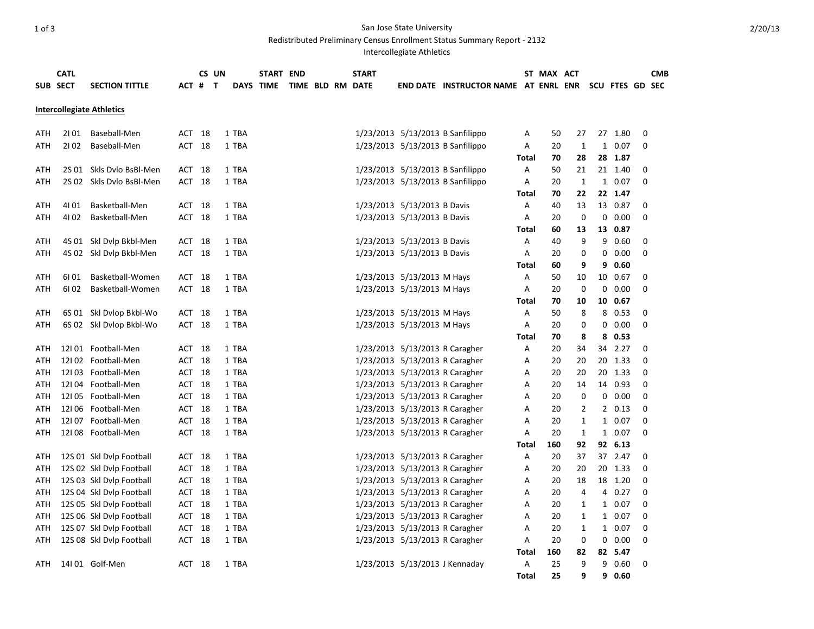## 1 of 3 San Jose State University Redistributed Preliminary Census Enrollment Status Summary Report - 2132

Intercollegiate Athletics

|                                  | <b>CATL</b>  |                                  |               | CS UN       |                | START END |  |  |  | <b>START</b>     |                                                            |                                             |              | ST MAX ACT |              |                 |                 |                  | <b>CMB</b> |
|----------------------------------|--------------|----------------------------------|---------------|-------------|----------------|-----------|--|--|--|------------------|------------------------------------------------------------|---------------------------------------------|--------------|------------|--------------|-----------------|-----------------|------------------|------------|
|                                  | SUB SECT     | <b>SECTION TITTLE</b>            | ACT #         | $\mathbf T$ |                | DAYS TIME |  |  |  | TIME BLD RM DATE |                                                            | <b>END DATE INSTRUCTOR NAME AT ENRL ENR</b> |              |            |              |                 | SCU FTES GD SEC |                  |            |
|                                  |              |                                  |               |             |                |           |  |  |  |                  |                                                            |                                             |              |            |              |                 |                 |                  |            |
| <b>Intercollegiate Athletics</b> |              |                                  |               |             |                |           |  |  |  |                  |                                                            |                                             |              |            |              |                 |                 |                  |            |
|                                  |              |                                  |               |             |                |           |  |  |  |                  |                                                            |                                             |              |            |              |                 |                 |                  |            |
| ATH                              | 2101         | Baseball-Men                     | ACT 18        |             | 1 TBA          |           |  |  |  |                  |                                                            | 1/23/2013 5/13/2013 B Sanfilippo            | A            | 50         | 27           |                 | 27 1.80         | 0                |            |
| ATH                              | 2102         | Baseball-Men                     | ACT 18        |             | 1 TBA          |           |  |  |  |                  |                                                            | 1/23/2013 5/13/2013 B Sanfilippo            | Α            | 20         | $\mathbf{1}$ | $\mathbf{1}$    | 0.07            | 0                |            |
|                                  |              |                                  |               |             |                |           |  |  |  |                  |                                                            |                                             | Total        | 70         | 28           |                 | 28 1.87         |                  |            |
| ATH                              |              | 2S 01 Skls Dvlo BsBl-Men         | ACT           | 18          | 1 TBA<br>1 TBA |           |  |  |  |                  |                                                            | 1/23/2013 5/13/2013 B Sanfilippo            | Α            | 50<br>20   | 21           | $\mathbf{1}$    | 21 1.40<br>0.07 | 0<br>$\mathbf 0$ |            |
| ATH                              |              | 2S 02 Skls Dvlo BsBl-Men         | ACT 18        |             |                |           |  |  |  |                  |                                                            | 1/23/2013 5/13/2013 B Sanfilippo            | Α            |            | $\mathbf{1}$ |                 |                 |                  |            |
|                                  |              |                                  |               |             |                |           |  |  |  |                  |                                                            |                                             | Total        | 70         | 22           |                 | 22 1.47         | $\Omega$         |            |
| ATH                              | 4101<br>4102 | Basketball-Men<br>Basketball-Men | ACT<br>ACT 18 | 18          | 1 TBA<br>1 TBA |           |  |  |  |                  | 1/23/2013 5/13/2013 B Davis<br>1/23/2013 5/13/2013 B Davis |                                             | Α<br>Α       | 40<br>20   | 13<br>0      | 0               | 13 0.87<br>0.00 | 0                |            |
| ATH                              |              |                                  |               |             |                |           |  |  |  |                  |                                                            |                                             | <b>Total</b> | 60         | 13           |                 | 13 0.87         |                  |            |
| <b>ATH</b>                       |              | 4S 01 Skl Dvlp Bkbl-Men          | ACT 18        |             | 1 TBA          |           |  |  |  |                  | 1/23/2013 5/13/2013 B Davis                                |                                             | Α            | 40         | 9            | 9               | 0.60            | 0                |            |
| ATH                              |              | 4S 02 Skl Dvlp Bkbl-Men          | ACT 18        |             | 1 TBA          |           |  |  |  |                  | 1/23/2013 5/13/2013 B Davis                                |                                             | Α            | 20         | 0            | 0               | 0.00            | 0                |            |
|                                  |              |                                  |               |             |                |           |  |  |  |                  |                                                            |                                             | Total        | 60         | 9            | 9               | 0.60            |                  |            |
| ATH                              | 6101         | Basketball-Women                 | ACT           | 18          | 1 TBA          |           |  |  |  |                  | 1/23/2013 5/13/2013 M Hays                                 |                                             | Α            | 50         | 10           | 10              | 0.67            | $\Omega$         |            |
| ATH                              | 6102         | Basketball-Women                 | ACT 18        |             | 1 TBA          |           |  |  |  |                  | 1/23/2013 5/13/2013 M Hays                                 |                                             | Α            | 20         | $\mathbf 0$  | 0               | 0.00            | 0                |            |
|                                  |              |                                  |               |             |                |           |  |  |  |                  |                                                            |                                             | Total        | 70         | 10           | 10 <sup>1</sup> | 0.67            |                  |            |
| <b>ATH</b>                       |              | 6S 01 Skl Dvlop Bkbl-Wo          | ACT           | 18          | 1 TBA          |           |  |  |  |                  | 1/23/2013 5/13/2013 M Hays                                 |                                             | A            | 50         | 8            | 8               | 0.53            | 0                |            |
| ATH                              |              | 6S 02 Skl Dvlop Bkbl-Wo          | ACT           | 18          | 1 TBA          |           |  |  |  |                  | 1/23/2013 5/13/2013 M Hays                                 |                                             | A            | 20         | 0            | 0               | 0.00            | 0                |            |
|                                  |              |                                  |               |             |                |           |  |  |  |                  |                                                            |                                             | Total        | 70         | 8            |                 | 8 0.53          |                  |            |
| ATH                              |              | 12I01 Football-Men               | ACT 18        |             | 1 TBA          |           |  |  |  |                  |                                                            | 1/23/2013 5/13/2013 R Caragher              | Α            | 20         | 34           | 34              | 2.27            | 0                |            |
| ATH                              |              | 12102 Football-Men               | ACT 18        |             | 1 TBA          |           |  |  |  |                  |                                                            | 1/23/2013 5/13/2013 R Caragher              | Α            | 20         | 20           | 20              | 1.33            | $\mathbf 0$      |            |
| <b>ATH</b>                       |              | 12103 Football-Men               | ACT 18        |             | 1 TBA          |           |  |  |  |                  |                                                            | 1/23/2013 5/13/2013 R Caragher              | Α            | 20         | 20           | 20              | 1.33            | $\mathbf 0$      |            |
| ATH                              |              | 12104 Football-Men               | ACT 18        |             | 1 TBA          |           |  |  |  |                  |                                                            | 1/23/2013 5/13/2013 R Caragher              | A            | 20         | 14           |                 | 14 0.93         | $\mathbf 0$      |            |
| ATH                              |              | 12105 Football-Men               | ACT           | -18         | 1 TBA          |           |  |  |  |                  |                                                            | 1/23/2013 5/13/2013 R Caragher              | A            | 20         | 0            | 0               | 0.00            | 0                |            |
| ATH                              |              | 12106 Football-Men               | ACT 18        |             | 1 TBA          |           |  |  |  |                  |                                                            | 1/23/2013 5/13/2013 R Caragher              | A            | 20         | 2            | $\overline{2}$  | 0.13            | 0                |            |
| ATH                              |              | 12107 Football-Men               | ACT           | 18          | 1 TBA          |           |  |  |  |                  |                                                            | 1/23/2013 5/13/2013 R Caragher              | Α            | 20         | 1            | $\mathbf{1}$    | 0.07            | $\mathbf 0$      |            |
| ATH                              |              | 12108 Football-Men               | ACT 18        |             | 1 TBA          |           |  |  |  |                  |                                                            | 1/23/2013 5/13/2013 R Caragher              | A            | 20         | 1            |                 | 1 0.07          | $\Omega$         |            |
|                                  |              |                                  |               |             |                |           |  |  |  |                  |                                                            |                                             | Total        | 160        | 92           |                 | 92 6.13         |                  |            |
| ATH                              |              | 12S 01 Skl Dvlp Football         | ACT           | -18         | 1 TBA          |           |  |  |  |                  |                                                            | 1/23/2013 5/13/2013 R Caragher              | A            | 20         | 37           | 37              | 2.47            | 0                |            |
| ATH                              |              | 12S 02 Skl Dvlp Football         | ACT 18        |             | 1 TBA          |           |  |  |  |                  |                                                            | 1/23/2013 5/13/2013 R Caragher              | Α            | 20         | 20           |                 | 20 1.33         | 0                |            |
| ATH                              |              | 12S 03 Skl Dvlp Football         | ACT 18        |             | 1 TBA          |           |  |  |  |                  |                                                            | 1/23/2013 5/13/2013 R Caragher              | Α            | 20         | 18           |                 | 18 1.20         | 0                |            |
| ATH                              |              | 12S 04 Skl Dvlp Football         | ACT 18        |             | 1 TBA          |           |  |  |  |                  |                                                            | 1/23/2013 5/13/2013 R Caragher              | Α            | 20         | 4            |                 | 4 0.27          | 0                |            |
| ATH                              |              | 12S 05 Skl Dvlp Football         | ACT 18        |             | 1 TBA          |           |  |  |  |                  |                                                            | 1/23/2013 5/13/2013 R Caragher              | Α            | 20         | $\mathbf{1}$ | $\mathbf{1}$    | 0.07            | 0                |            |
| ATH                              |              | 12S 06 Skl Dvlp Football         | ACT 18        |             | 1 TBA          |           |  |  |  |                  |                                                            | 1/23/2013 5/13/2013 R Caragher              | Α            | 20         | 1            |                 | 1 0.07          | $\mathbf 0$      |            |
| ATH                              |              | 12S 07 Skl Dvlp Football         | ACT 18        |             | 1 TBA          |           |  |  |  |                  |                                                            | 1/23/2013 5/13/2013 R Caragher              | A            | 20         | 1            | $\mathbf{1}$    | 0.07            | 0                |            |
| ATH                              |              | 12S 08 Skl Dvlp Football         | ACT 18        |             | 1 TBA          |           |  |  |  |                  |                                                            | 1/23/2013 5/13/2013 R Caragher              | Α            | 20         | 0            | 0               | 0.00            | 0                |            |
|                                  |              |                                  |               |             |                |           |  |  |  |                  |                                                            |                                             | <b>Total</b> | 160        | 82           |                 | 82 5.47         |                  |            |
| ATH                              |              | 14101 Golf-Men                   | ACT 18        |             | 1 TBA          |           |  |  |  |                  |                                                            | 1/23/2013 5/13/2013 J Kennaday              | А            | 25         | 9            | 9               | 0.60            | $\mathbf 0$      |            |
|                                  |              |                                  |               |             |                |           |  |  |  |                  |                                                            |                                             | <b>Total</b> | 25         | 9            |                 | 9 0.60          |                  |            |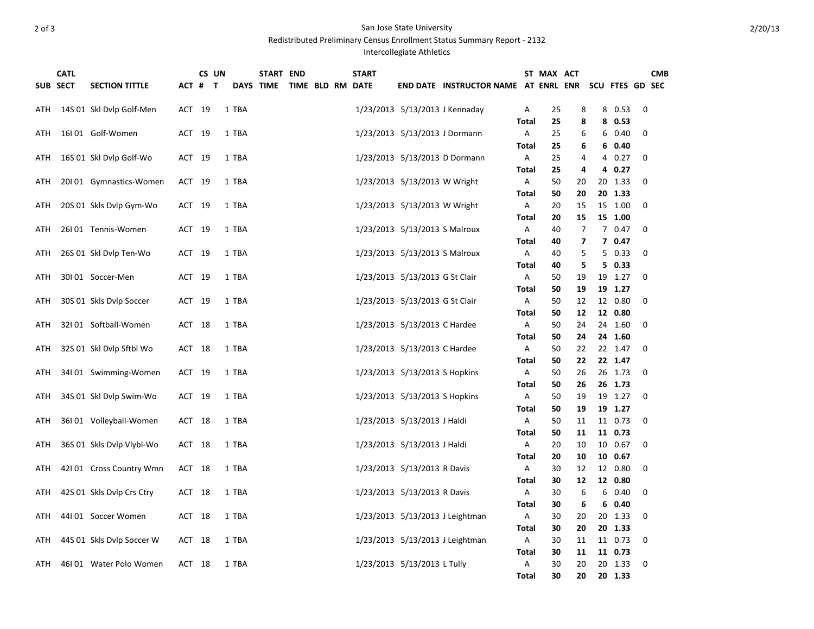## 2 of 3 San Jose State University Redistributed Preliminary Census Enrollment Status Summary Report - 2132 Intercollegiate Athletics

|          | <b>CATL</b> |                           |        | CS UN |           | START END |                  |  | START |                                |                                                      |            | ST MAX ACT |                      |    |                    |             | <b>CMB</b> |
|----------|-------------|---------------------------|--------|-------|-----------|-----------|------------------|--|-------|--------------------------------|------------------------------------------------------|------------|------------|----------------------|----|--------------------|-------------|------------|
| SUB SECT |             | <b>SECTION TITTLE</b>     | ACT #  | т     | DAYS TIME |           | TIME BLD RM DATE |  |       |                                | END DATE INSTRUCTOR NAME AT ENRL ENR SCU FTES GD SEC |            |            |                      |    |                    |             |            |
| ATH      |             | 14S 01 Skl Dvlp Golf-Men  | ACT 19 |       | 1 TBA     |           |                  |  |       |                                | 1/23/2013 5/13/2013 J Kennaday                       | A          | 25         | 8                    |    | 8 0.53             | 0           |            |
|          |             |                           |        |       |           |           |                  |  |       |                                |                                                      | Total      | 25         | 8                    |    | 8 0.53             |             |            |
| ATH      |             | 16101 Golf-Women          | ACT 19 |       | 1 TBA     |           |                  |  |       | 1/23/2013 5/13/2013 J Dormann  |                                                      | Α          | 25         | 6                    |    | 6 0.40             | 0           |            |
|          |             |                           |        |       |           |           |                  |  |       |                                |                                                      | Total      | 25         | 6                    |    | 60.40              |             |            |
| ATH      |             | 16S 01 Skl Dvlp Golf-Wo   | ACT 19 |       | 1 TBA     |           |                  |  |       |                                | 1/23/2013 5/13/2013 D Dormann                        | A          | 25         | 4                    |    | 4 0.27             | 0           |            |
|          |             |                           |        |       |           |           |                  |  |       |                                |                                                      | Total      | 25         | 4                    | 4  | 0.27               |             |            |
| ATH      |             | 20101 Gymnastics-Women    | ACT 19 |       | 1 TBA     |           |                  |  |       | 1/23/2013 5/13/2013 W Wright   |                                                      | A          | 50         | 20                   |    | 20 1.33            | 0           |            |
|          |             |                           |        |       |           |           |                  |  |       |                                |                                                      | Total      | 50         | 20                   |    | 20 1.33            |             |            |
| ATH      |             | 20S 01 Skls Dvlp Gym-Wo   | ACT 19 |       | 1 TBA     |           |                  |  |       | 1/23/2013 5/13/2013 W Wright   |                                                      | A          | 20         | 15                   |    | 15 1.00            | 0           |            |
| ATH      |             | 26101 Tennis-Women        | ACT 19 |       | 1 TBA     |           |                  |  |       | 1/23/2013 5/13/2013 S Malroux  |                                                      | Total<br>A | 20<br>40   | 15<br>$\overline{7}$ |    | 15 1.00<br>7 0.47  | 0           |            |
|          |             |                           |        |       |           |           |                  |  |       |                                |                                                      | Total      | 40         | 7                    |    | 7 0.47             |             |            |
| ATH      |             | 26S 01 Skl Dvlp Ten-Wo    | ACT 19 |       | 1 TBA     |           |                  |  |       | 1/23/2013 5/13/2013 S Malroux  |                                                      | A          | 40         | 5                    |    | 5 0.33             | 0           |            |
|          |             |                           |        |       |           |           |                  |  |       |                                |                                                      | Total      | 40         | 5                    |    | 50.33              |             |            |
| ATH      |             | 30101 Soccer-Men          | ACT 19 |       | 1 TBA     |           |                  |  |       | 1/23/2013 5/13/2013 G St Clair |                                                      | A          | 50         | 19                   | 19 | 1.27               | 0           |            |
|          |             |                           |        |       |           |           |                  |  |       |                                |                                                      | Total      | 50         | 19                   |    | 19 1.27            |             |            |
| ATH      |             | 30S 01 Skls Dvlp Soccer   | ACT 19 |       | 1 TBA     |           |                  |  |       | 1/23/2013 5/13/2013 G St Clair |                                                      | Α          | 50         | 12                   |    | 12 0.80            | $\mathbf 0$ |            |
|          |             |                           |        |       |           |           |                  |  |       |                                |                                                      | Total      | 50         | 12                   |    | 12 0.80            |             |            |
| ATH      |             | 32101 Softball-Women      | ACT 18 |       | 1 TBA     |           |                  |  |       | 1/23/2013 5/13/2013 C Hardee   |                                                      | A          | 50         | 24                   |    | 24 1.60            | 0           |            |
|          |             |                           |        |       |           |           |                  |  |       |                                |                                                      | Total      | 50         | 24                   |    | 24 1.60            |             |            |
| ATH      |             | 32S 01 Skl Dvlp Sftbl Wo  | ACT 18 |       | 1 TBA     |           |                  |  |       | 1/23/2013 5/13/2013 C Hardee   |                                                      | A          | 50         | 22                   |    | 22 1.47            | $\Omega$    |            |
|          |             |                           |        |       |           |           |                  |  |       |                                |                                                      | Total      | 50         | 22                   |    | 22 1.47            |             |            |
| ATH      |             | 34101 Swimming-Women      | ACT 19 |       | 1 TBA     |           |                  |  |       | 1/23/2013 5/13/2013 S Hopkins  |                                                      | A<br>Total | 50<br>50   | 26<br>26             |    | 26 1.73<br>26 1.73 | 0           |            |
| ATH      |             | 34S 01 Skl Dvlp Swim-Wo   | ACT 19 |       | 1 TBA     |           |                  |  |       | 1/23/2013 5/13/2013 S Hopkins  |                                                      | Α          | 50         | 19                   |    | 19 1.27            | 0           |            |
|          |             |                           |        |       |           |           |                  |  |       |                                |                                                      | Total      | 50         | 19                   |    | 19 1.27            |             |            |
| ATH      |             | 36I01 Volleyball-Women    | ACT 18 |       | 1 TBA     |           |                  |  |       | 1/23/2013 5/13/2013 J Haldi    |                                                      | Α          | 50         | 11                   |    | 11 0.73            | 0           |            |
|          |             |                           |        |       |           |           |                  |  |       |                                |                                                      | Total      | 50         | 11                   |    | 11 0.73            |             |            |
| ATH      |             | 36S 01 Skls Dvlp Vlybl-Wo | ACT 18 |       | 1 TBA     |           |                  |  |       | 1/23/2013 5/13/2013 J Haldi    |                                                      | Α          | 20         | 10                   |    | 10 0.67            | 0           |            |
|          |             |                           |        |       |           |           |                  |  |       |                                |                                                      | Total      | 20         | 10                   |    | 10 0.67            |             |            |
| ATH      |             | 42101 Cross Country Wmn   | ACT 18 |       | 1 TBA     |           |                  |  |       | 1/23/2013 5/13/2013 R Davis    |                                                      | A          | 30         | 12                   |    | 12 0.80            | 0           |            |
|          |             |                           |        |       |           |           |                  |  |       |                                |                                                      | Total      | 30         | 12                   |    | 12 0.80            |             |            |
| ATH      |             | 42S 01 Skls Dvlp Crs Ctry | ACT 18 |       | 1 TBA     |           |                  |  |       | 1/23/2013 5/13/2013 R Davis    |                                                      | Α          | 30         | 6                    | 6  | 0.40               | 0           |            |
|          |             |                           |        |       |           |           |                  |  |       |                                |                                                      | Total      | 30         | 6                    | 6  | 0.40               |             |            |
| ATH      |             | 44101 Soccer Women        | ACT 18 |       | 1 TBA     |           |                  |  |       |                                | 1/23/2013 5/13/2013 J Leightman                      | A<br>Total | 30<br>30   | 20<br>20             |    | 20 1.33<br>20 1.33 | 0           |            |
| ATH      |             | 44S 01 Skls Dvlp Soccer W | ACT 18 |       | 1 TBA     |           |                  |  |       |                                | 1/23/2013 5/13/2013 J Leightman                      | A          | 30         | 11                   |    | 11 0.73            | 0           |            |
|          |             |                           |        |       |           |           |                  |  |       |                                |                                                      | Total      | 30         | 11                   |    | 11 0.73            |             |            |
| ATH      |             | 46101 Water Polo Women    | ACT 18 |       | 1 TBA     |           |                  |  |       | 1/23/2013 5/13/2013 L Tully    |                                                      | Α          | 30         | 20                   |    | 20 1.33            | 0           |            |
|          |             |                           |        |       |           |           |                  |  |       |                                |                                                      | Total      | 30         | 20                   |    | 20 1.33            |             |            |